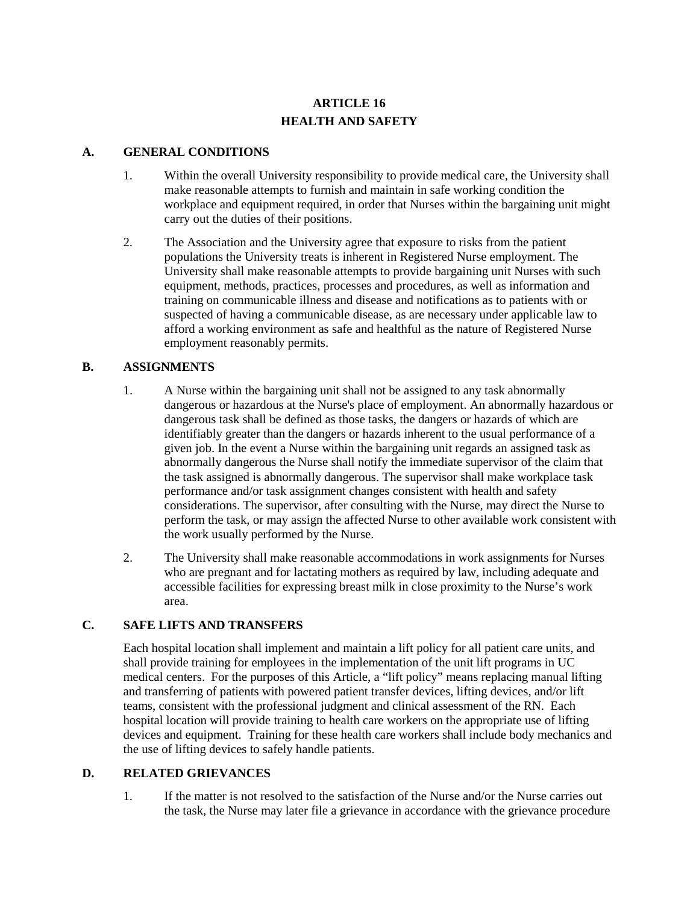# **ARTICLE 16 HEALTH AND SAFETY**

#### **A. GENERAL CONDITIONS**

- 1. Within the overall University responsibility to provide medical care, the University shall make reasonable attempts to furnish and maintain in safe working condition the workplace and equipment required, in order that Nurses within the bargaining unit might carry out the duties of their positions.
- 2. The Association and the University agree that exposure to risks from the patient populations the University treats is inherent in Registered Nurse employment. The University shall make reasonable attempts to provide bargaining unit Nurses with such equipment, methods, practices, processes and procedures, as well as information and training on communicable illness and disease and notifications as to patients with or suspected of having a communicable disease, as are necessary under applicable law to afford a working environment as safe and healthful as the nature of Registered Nurse employment reasonably permits.

## **B. ASSIGNMENTS**

- 1. A Nurse within the bargaining unit shall not be assigned to any task abnormally dangerous or hazardous at the Nurse's place of employment. An abnormally hazardous or dangerous task shall be defined as those tasks, the dangers or hazards of which are identifiably greater than the dangers or hazards inherent to the usual performance of a given job. In the event a Nurse within the bargaining unit regards an assigned task as abnormally dangerous the Nurse shall notify the immediate supervisor of the claim that the task assigned is abnormally dangerous. The supervisor shall make workplace task performance and/or task assignment changes consistent with health and safety considerations. The supervisor, after consulting with the Nurse, may direct the Nurse to perform the task, or may assign the affected Nurse to other available work consistent with the work usually performed by the Nurse.
- 2. The University shall make reasonable accommodations in work assignments for Nurses who are pregnant and for lactating mothers as required by law, including adequate and accessible facilities for expressing breast milk in close proximity to the Nurse's work area.

## **C. SAFE LIFTS AND TRANSFERS**

Each hospital location shall implement and maintain a lift policy for all patient care units, and shall provide training for employees in the implementation of the unit lift programs in UC medical centers. For the purposes of this Article, a "lift policy" means replacing manual lifting and transferring of patients with powered patient transfer devices, lifting devices, and/or lift teams, consistent with the professional judgment and clinical assessment of the RN. Each hospital location will provide training to health care workers on the appropriate use of lifting devices and equipment. Training for these health care workers shall include body mechanics and the use of lifting devices to safely handle patients.

#### **D. RELATED GRIEVANCES**

1. If the matter is not resolved to the satisfaction of the Nurse and/or the Nurse carries out the task, the Nurse may later file a grievance in accordance with the grievance procedure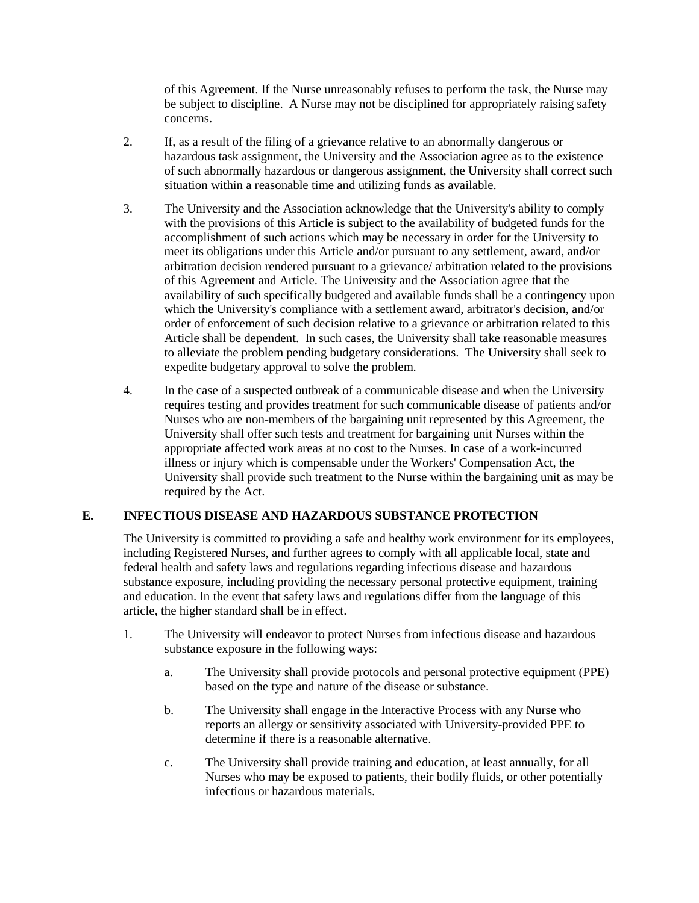of this Agreement. If the Nurse unreasonably refuses to perform the task, the Nurse may be subject to discipline. A Nurse may not be disciplined for appropriately raising safety concerns.

- 2. If, as a result of the filing of a grievance relative to an abnormally dangerous or hazardous task assignment, the University and the Association agree as to the existence of such abnormally hazardous or dangerous assignment, the University shall correct such situation within a reasonable time and utilizing funds as available.
- 3. The University and the Association acknowledge that the University's ability to comply with the provisions of this Article is subject to the availability of budgeted funds for the accomplishment of such actions which may be necessary in order for the University to meet its obligations under this Article and/or pursuant to any settlement, award, and/or arbitration decision rendered pursuant to a grievance/ arbitration related to the provisions of this Agreement and Article. The University and the Association agree that the availability of such specifically budgeted and available funds shall be a contingency upon which the University's compliance with a settlement award, arbitrator's decision, and/or order of enforcement of such decision relative to a grievance or arbitration related to this Article shall be dependent. In such cases, the University shall take reasonable measures to alleviate the problem pending budgetary considerations. The University shall seek to expedite budgetary approval to solve the problem.
- 4. In the case of a suspected outbreak of a communicable disease and when the University requires testing and provides treatment for such communicable disease of patients and/or Nurses who are non-members of the bargaining unit represented by this Agreement, the University shall offer such tests and treatment for bargaining unit Nurses within the appropriate affected work areas at no cost to the Nurses. In case of a work-incurred illness or injury which is compensable under the Workers' Compensation Act, the University shall provide such treatment to the Nurse within the bargaining unit as may be required by the Act.

#### **E. INFECTIOUS DISEASE AND HAZARDOUS SUBSTANCE PROTECTION**

The University is committed to providing a safe and healthy work environment for its employees, including Registered Nurses, and further agrees to comply with all applicable local, state and federal health and safety laws and regulations regarding infectious disease and hazardous substance exposure, including providing the necessary personal protective equipment, training and education. In the event that safety laws and regulations differ from the language of this article, the higher standard shall be in effect.

- 1. The University will endeavor to protect Nurses from infectious disease and hazardous substance exposure in the following ways:
	- a. The University shall provide protocols and personal protective equipment (PPE) based on the type and nature of the disease or substance.
	- b. The University shall engage in the Interactive Process with any Nurse who reports an allergy or sensitivity associated with University-provided PPE to determine if there is a reasonable alternative.
	- c. The University shall provide training and education, at least annually, for all Nurses who may be exposed to patients, their bodily fluids, or other potentially infectious or hazardous materials.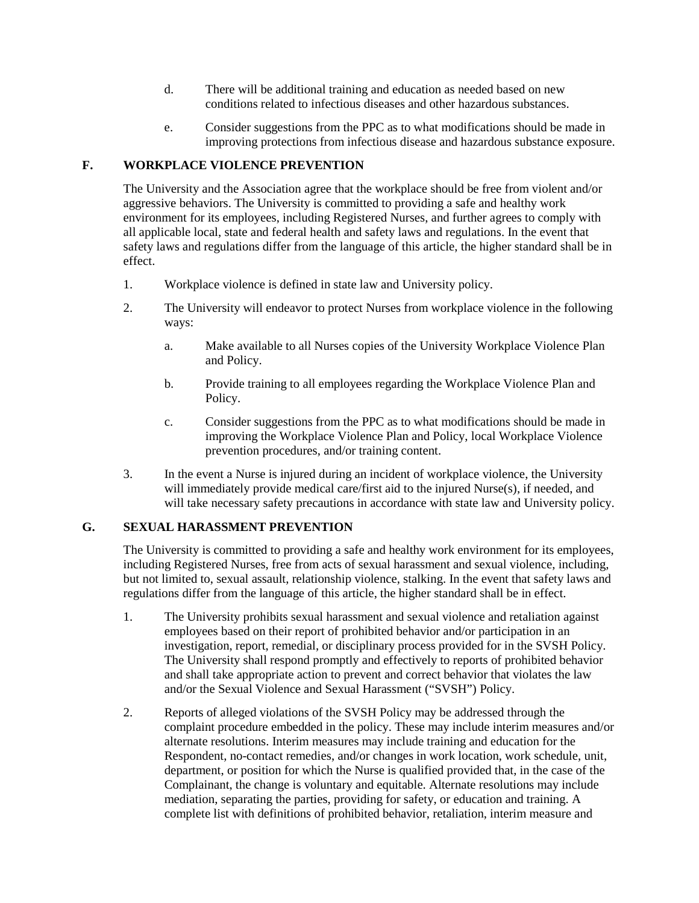- d. There will be additional training and education as needed based on new conditions related to infectious diseases and other hazardous substances.
- e. Consider suggestions from the PPC as to what modifications should be made in improving protections from infectious disease and hazardous substance exposure.

#### **F. WORKPLACE VIOLENCE PREVENTION**

The University and the Association agree that the workplace should be free from violent and/or aggressive behaviors. The University is committed to providing a safe and healthy work environment for its employees, including Registered Nurses, and further agrees to comply with all applicable local, state and federal health and safety laws and regulations. In the event that safety laws and regulations differ from the language of this article, the higher standard shall be in effect.

- 1. Workplace violence is defined in state law and University policy.
- 2. The University will endeavor to protect Nurses from workplace violence in the following ways:
	- a. Make available to all Nurses copies of the University Workplace Violence Plan and Policy.
	- b. Provide training to all employees regarding the Workplace Violence Plan and Policy.
	- c. Consider suggestions from the PPC as to what modifications should be made in improving the Workplace Violence Plan and Policy, local Workplace Violence prevention procedures, and/or training content.
- 3. In the event a Nurse is injured during an incident of workplace violence, the University will immediately provide medical care/first aid to the injured Nurse(s), if needed, and will take necessary safety precautions in accordance with state law and University policy.

## **G. SEXUAL HARASSMENT PREVENTION**

The University is committed to providing a safe and healthy work environment for its employees, including Registered Nurses, free from acts of sexual harassment and sexual violence, including, but not limited to, sexual assault, relationship violence, stalking. In the event that safety laws and regulations differ from the language of this article, the higher standard shall be in effect.

- 1. The University prohibits sexual harassment and sexual violence and retaliation against employees based on their report of prohibited behavior and/or participation in an investigation, report, remedial, or disciplinary process provided for in the SVSH Policy. The University shall respond promptly and effectively to reports of prohibited behavior and shall take appropriate action to prevent and correct behavior that violates the law and/or the Sexual Violence and Sexual Harassment ("SVSH") Policy.
- 2. Reports of alleged violations of the SVSH Policy may be addressed through the complaint procedure embedded in the policy. These may include interim measures and/or alternate resolutions. Interim measures may include training and education for the Respondent, no-contact remedies, and/or changes in work location, work schedule, unit, department, or position for which the Nurse is qualified provided that, in the case of the Complainant, the change is voluntary and equitable. Alternate resolutions may include mediation, separating the parties, providing for safety, or education and training. A complete list with definitions of prohibited behavior, retaliation, interim measure and